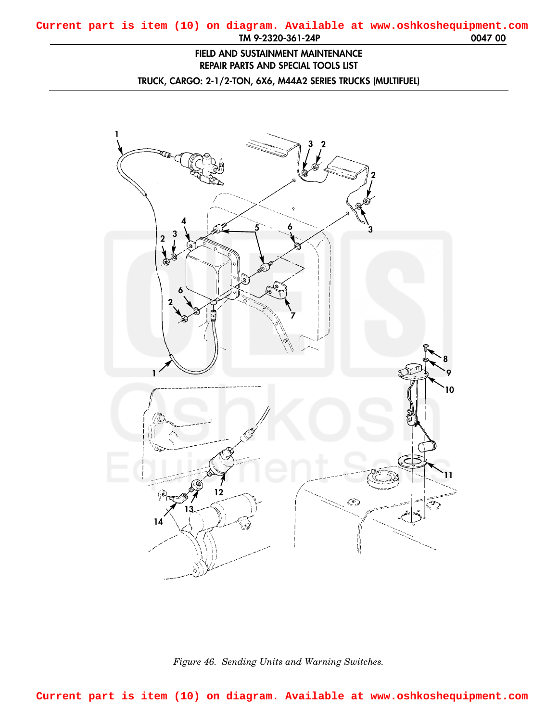## **FIELD AND SUSTAINMENT MAINTENANCE REPAIR PARTS AND SPECIAL TOOLS LIST**

**TRUCK, CARGO: 2-1/2-TON, 6X6, M44A2 SERIES TRUCKS (MULTIFUEL)**

<span id="page-0-0"></span>

*Figure 46. Sending Units and Warning Switches.*

**Current part is item (10) on diagram. Available at www.oshkoshequipment.com**